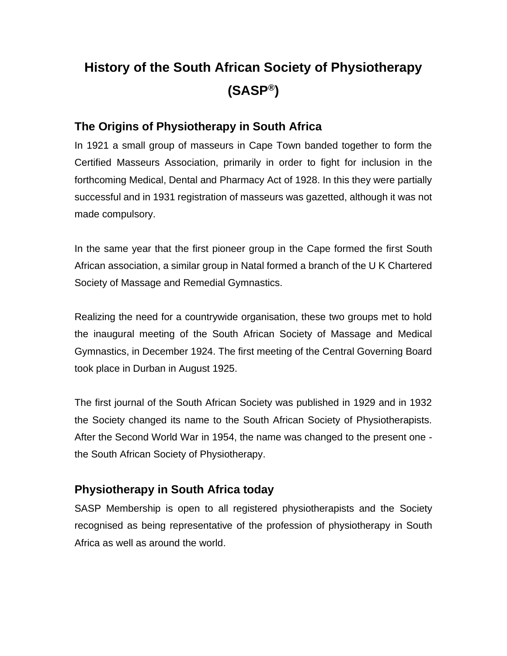# **History of the South African Society of Physiotherapy (SASP®)**

## **The Origins of Physiotherapy in South Africa**

In 1921 a small group of masseurs in Cape Town banded together to form the Certified Masseurs Association, primarily in order to fight for inclusion in the forthcoming Medical, Dental and Pharmacy Act of 1928. In this they were partially successful and in 1931 registration of masseurs was gazetted, although it was not made compulsory.

In the same year that the first pioneer group in the Cape formed the first South African association, a similar group in Natal formed a branch of the U K Chartered Society of Massage and Remedial Gymnastics.

Realizing the need for a countrywide organisation, these two groups met to hold the inaugural meeting of the South African Society of Massage and Medical Gymnastics, in December 1924. The first meeting of the Central Governing Board took place in Durban in August 1925.

The first journal of the South African Society was published in 1929 and in 1932 the Society changed its name to the South African Society of Physiotherapists. After the Second World War in 1954, the name was changed to the present one the South African Society of Physiotherapy.

## **Physiotherapy in South Africa today**

SASP Membership is open to all registered physiotherapists and the Society recognised as being representative of the profession of physiotherapy in South Africa as well as around the world.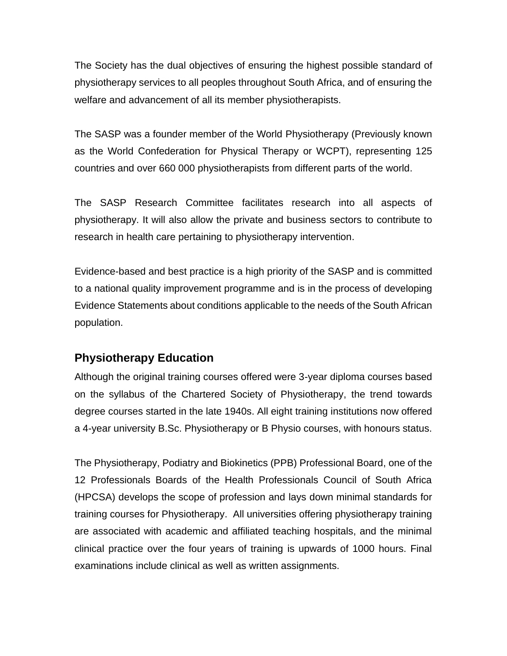The Society has the dual objectives of ensuring the highest possible standard of physiotherapy services to all peoples throughout South Africa, and of ensuring the welfare and advancement of all its member physiotherapists.

The SASP was a founder member of the World Physiotherapy (Previously known as the World Confederation for Physical Therapy or WCPT), representing 125 countries and over 660 000 physiotherapists from different parts of the world.

The SASP Research Committee facilitates research into all aspects of physiotherapy. It will also allow the private and business sectors to contribute to research in health care pertaining to physiotherapy intervention.

Evidence-based and best practice is a high priority of the SASP and is committed to a national quality improvement programme and is in the process of developing Evidence Statements about conditions applicable to the needs of the South African population.

### **Physiotherapy Education**

Although the original training courses offered were 3-year diploma courses based on the syllabus of the Chartered Society of Physiotherapy, the trend towards degree courses started in the late 1940s. All eight training institutions now offered a 4-year university B.Sc. Physiotherapy or B Physio courses, with honours status.

The Physiotherapy, Podiatry and Biokinetics (PPB) Professional Board, one of the 12 Professionals Boards of the Health Professionals Council of South Africa (HPCSA) develops the scope of profession and lays down minimal standards for training courses for Physiotherapy. All universities offering physiotherapy training are associated with academic and affiliated teaching hospitals, and the minimal clinical practice over the four years of training is upwards of 1000 hours. Final examinations include clinical as well as written assignments.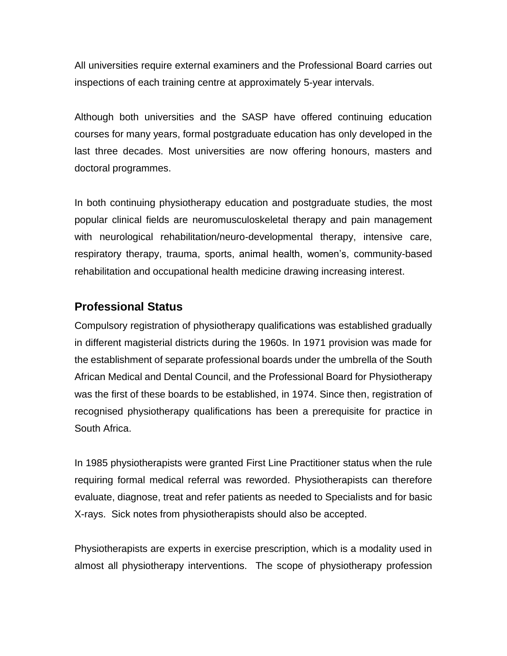All universities require external examiners and the Professional Board carries out inspections of each training centre at approximately 5-year intervals.

Although both universities and the SASP have offered continuing education courses for many years, formal postgraduate education has only developed in the last three decades. Most universities are now offering honours, masters and doctoral programmes.

In both continuing physiotherapy education and postgraduate studies, the most popular clinical fields are neuromusculoskeletal therapy and pain management with neurological rehabilitation/neuro-developmental therapy, intensive care, respiratory therapy, trauma, sports, animal health, women's, community-based rehabilitation and occupational health medicine drawing increasing interest.

#### **Professional Status**

Compulsory registration of physiotherapy qualifications was established gradually in different magisterial districts during the 1960s. In 1971 provision was made for the establishment of separate professional boards under the umbrella of the South African Medical and Dental Council, and the Professional Board for Physiotherapy was the first of these boards to be established, in 1974. Since then, registration of recognised physiotherapy qualifications has been a prerequisite for practice in South Africa.

In 1985 physiotherapists were granted First Line Practitioner status when the rule requiring formal medical referral was reworded. Physiotherapists can therefore evaluate, diagnose, treat and refer patients as needed to Specialists and for basic X-rays. Sick notes from physiotherapists should also be accepted.

Physiotherapists are experts in exercise prescription, which is a modality used in almost all physiotherapy interventions. The scope of physiotherapy profession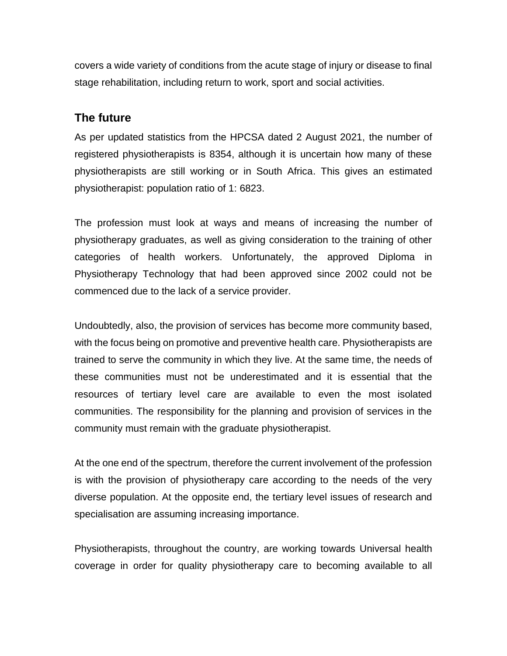covers a wide variety of conditions from the acute stage of injury or disease to final stage rehabilitation, including return to work, sport and social activities.

#### **The future**

As per updated statistics from the HPCSA dated 2 August 2021, the number of registered physiotherapists is 8354, although it is uncertain how many of these physiotherapists are still working or in South Africa. This gives an estimated physiotherapist: population ratio of 1: 6823.

The profession must look at ways and means of increasing the number of physiotherapy graduates, as well as giving consideration to the training of other categories of health workers. Unfortunately, the approved Diploma in Physiotherapy Technology that had been approved since 2002 could not be commenced due to the lack of a service provider.

Undoubtedly, also, the provision of services has become more community based, with the focus being on promotive and preventive health care. Physiotherapists are trained to serve the community in which they live. At the same time, the needs of these communities must not be underestimated and it is essential that the resources of tertiary level care are available to even the most isolated communities. The responsibility for the planning and provision of services in the community must remain with the graduate physiotherapist.

At the one end of the spectrum, therefore the current involvement of the profession is with the provision of physiotherapy care according to the needs of the very diverse population. At the opposite end, the tertiary level issues of research and specialisation are assuming increasing importance.

Physiotherapists, throughout the country, are working towards Universal health coverage in order for quality physiotherapy care to becoming available to all